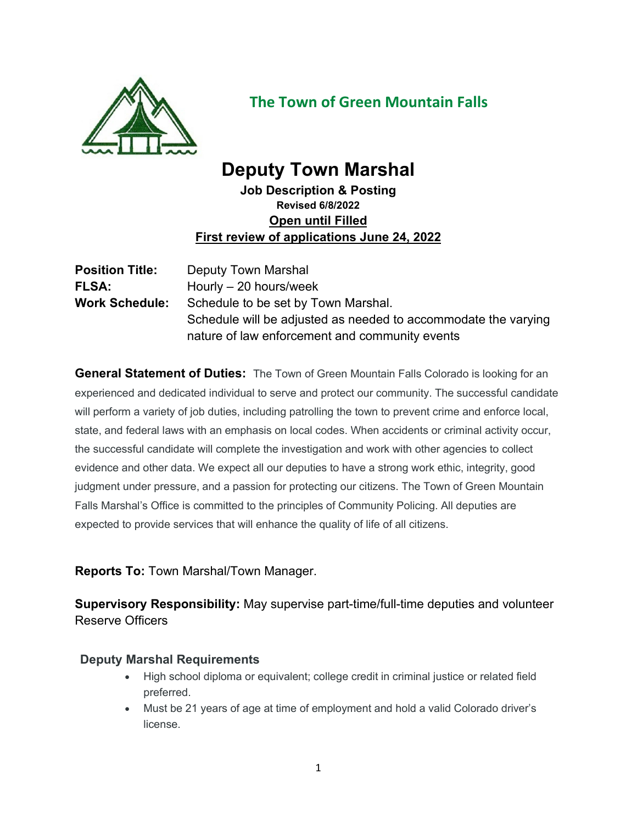

# **The Town of Green Mountain Falls**

# **Deputy Town Marshal**

**Job Description & Posting Revised 6/8/2022 Open until Filled First review of applications June 24, 2022**

| <b>Position Title:</b> | Deputy Town Marshal                                            |
|------------------------|----------------------------------------------------------------|
| <b>FLSA:</b>           | Hourly $-20$ hours/week                                        |
| <b>Work Schedule:</b>  | Schedule to be set by Town Marshal.                            |
|                        | Schedule will be adjusted as needed to accommodate the varying |
|                        | nature of law enforcement and community events                 |

**General Statement of Duties:** The Town of Green Mountain Falls Colorado is looking for an experienced and dedicated individual to serve and protect our community. The successful candidate will perform a variety of job duties, including patrolling the town to prevent crime and enforce local, state, and federal laws with an emphasis on local codes. When accidents or criminal activity occur, the successful candidate will complete the investigation and work with other agencies to collect evidence and other data. We expect all our deputies to have a strong work ethic, integrity, good judgment under pressure, and a passion for protecting our citizens. The Town of Green Mountain Falls Marshal's Office is committed to the principles of Community Policing. All deputies are expected to provide services that will enhance the quality of life of all citizens.

**Reports To:** Town Marshal/Town Manager.

**Supervisory Responsibility:** May supervise part-time/full-time deputies and volunteer Reserve Officers

## **Deputy Marshal Requirements**

- High school diploma or equivalent; college credit in criminal justice or related field preferred.
- Must be 21 years of age at time of employment and hold a valid Colorado driver's license.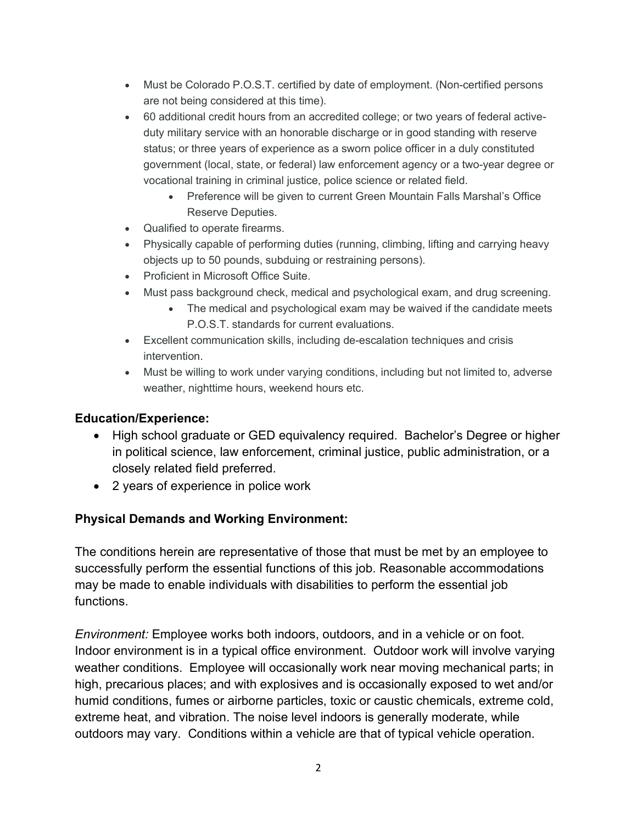- Must be Colorado P.O.S.T. certified by date of employment. (Non-certified persons are not being considered at this time).
- 60 additional credit hours from an accredited college; or two years of federal activeduty military service with an honorable discharge or in good standing with reserve status; or three years of experience as a sworn police officer in a duly constituted government (local, state, or federal) law enforcement agency or a two-year degree or vocational training in criminal justice, police science or related field.
	- Preference will be given to current Green Mountain Falls Marshal's Office Reserve Deputies.
- Qualified to operate firearms.
- Physically capable of performing duties (running, climbing, lifting and carrying heavy objects up to 50 pounds, subduing or restraining persons).
- Proficient in Microsoft Office Suite.
- Must pass background check, medical and psychological exam, and drug screening.
	- The medical and psychological exam may be waived if the candidate meets P.O.S.T. standards for current evaluations.
- Excellent communication skills, including de-escalation techniques and crisis intervention.
- Must be willing to work under varying conditions, including but not limited to, adverse weather, nighttime hours, weekend hours etc.

#### **Education/Experience:**

- High school graduate or GED equivalency required. Bachelor's Degree or higher in political science, law enforcement, criminal justice, public administration, or a closely related field preferred.
- 2 years of experience in police work

#### **Physical Demands and Working Environment:**

The conditions herein are representative of those that must be met by an employee to successfully perform the essential functions of this job. Reasonable accommodations may be made to enable individuals with disabilities to perform the essential job functions.

*Environment:* Employee works both indoors, outdoors, and in a vehicle or on foot. Indoor environment is in a typical office environment. Outdoor work will involve varying weather conditions. Employee will occasionally work near moving mechanical parts; in high, precarious places; and with explosives and is occasionally exposed to wet and/or humid conditions, fumes or airborne particles, toxic or caustic chemicals, extreme cold, extreme heat, and vibration. The noise level indoors is generally moderate, while outdoors may vary. Conditions within a vehicle are that of typical vehicle operation.